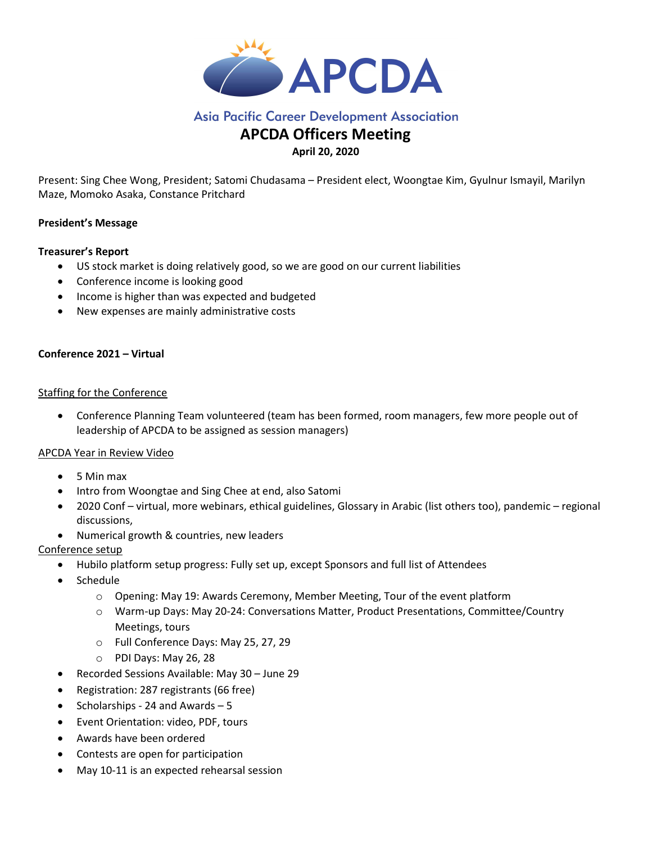

# **Asia Pacific Career Development Association**

# APCDA Officers Meeting

# April 20, 2020

Present: Sing Chee Wong, President; Satomi Chudasama – President elect, Woongtae Kim, Gyulnur Ismayil, Marilyn Maze, Momoko Asaka, Constance Pritchard

# President's Message

### Treasurer's Report

- US stock market is doing relatively good, so we are good on our current liabilities
- Conference income is looking good
- Income is higher than was expected and budgeted
- New expenses are mainly administrative costs

# Conference 2021 – Virtual

### Staffing for the Conference

 Conference Planning Team volunteered (team has been formed, room managers, few more people out of leadership of APCDA to be assigned as session managers)

### APCDA Year in Review Video

- 5 Min max
- Intro from Woongtae and Sing Chee at end, also Satomi
- 2020 Conf virtual, more webinars, ethical guidelines, Glossary in Arabic (list others too), pandemic regional discussions,
- Numerical growth & countries, new leaders

### Conference setup

- Hubilo platform setup progress: Fully set up, except Sponsors and full list of Attendees
- Schedule
	- o Opening: May 19: Awards Ceremony, Member Meeting, Tour of the event platform
	- o Warm-up Days: May 20-24: Conversations Matter, Product Presentations, Committee/Country Meetings, tours
	- o Full Conference Days: May 25, 27, 29
	- o PDI Days: May 26, 28
- Recorded Sessions Available: May 30 June 29
- Registration: 287 registrants (66 free)
- Scholarships 24 and Awards 5
- Event Orientation: video, PDF, tours
- Awards have been ordered
- Contests are open for participation
- May 10-11 is an expected rehearsal session